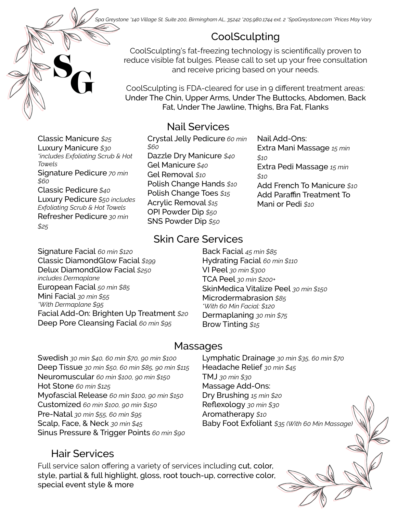*Spa Greystone \*140 Village St. Suite 200, Birmingham AL, 35242 \*205.980.1744 ext. 2 \*SpaGreystone.com \*Prices May Vary*

# CoolSculpting

CoolSculpting's fat-freezing technology is scientifically proven to reduce visible fat bulges. Please call to set up your free consultation and receive pricing based on your needs.

CoolSculpting is FDA-cleared for use in 9 different treatment areas: Under The Chin, Upper Arms, Under The Buttocks, Abdomen, Back Fat, Under The Jawline, Thighs, Bra Fat, Flanks

Nail Add-Ons:

Mani or Pedi *\$10*

*\$10*

*\$10*

Extra Mani Massage *15 min* 

Extra Pedi Massage *15 min* 

Add French To Manicure *\$10* Add Paraffin Treatment To

#### Nail Services

Crystal Jelly Pedicure *60 min \$60* Dazzle Dry Manicure *\$40* Gel Manicure *\$40* Gel Removal *\$10* Polish Change Hands *\$10* Polish Change Toes *\$15* Acrylic Removal *\$15* OPI Powder Dip *\$50* SNS Powder Dip *\$50*

#### Skin Care Services

Signature Facial *60 min \$120* Classic DiamondGlow Facial *\$199* Delux DiamondGlow Facial *\$250 includes Dermaplane* European Facial *50 min \$85* Mini Facial *30 min \$55 \*With Dermaplane \$95* Facial Add-On: Brighten Up Treatment *\$20* Deep Pore Cleansing Facial *60 min \$95*

Back Facial *45 min \$85* Hydrating Facial *60 min \$110* VI Peel *30 min \$300* TCA Peel *30 min \$200+* SkinMedica Vitalize Peel *30 min \$150* Microdermabrasion *\$85 \*With 60 Min Facial: \$120* Dermaplaning *30 min \$75*  Brow Tinting *\$15*

#### Massages

Swedish *30 min \$40, 60 min \$70, 90 min \$100* Deep Tissue *30 min \$50, 60 min \$85, 90 min \$115* Neuromuscular *60 min \$100, 90 min \$150* Hot Stone *60 min \$125* Myofascial Release *60 min \$100, 90 min \$150* Customized *60 min \$100, 90 min \$150* Pre-Natal *30 min \$55, 60 min \$95* Scalp, Face, & Neck *30 min \$45* Sinus Pressure & Trigger Points *60 min \$90*

Lymphatic Drainage *30 min \$35, 60 min \$70* Headache Relief *30 min \$45* TMJ *30 min \$30* Massage Add-Ons: Dry Brushing *15 min \$20* Reflexology *30 min \$30* Aromatherapy *\$10* Baby Foot Exfoliant *\$35 (With 60 Min Massage)*

#### Hair Services

Full service salon offering a variety of services including cut, color, style, partial & full highlight, gloss, root touch-up, corrective color, special event style & more

Classic Manicure *\$25* Luxury Manicure *\$30 \*includes Exfoliating Scrub & Hot Towels* Signature Pedicure *70 min \$60*

**SG** 

Classic Pedicure *\$40* Luxury Pedicure *\$50 includes Exfoliating Scrub & Hot Towels* Refresher Pedicure *30 min \$25*